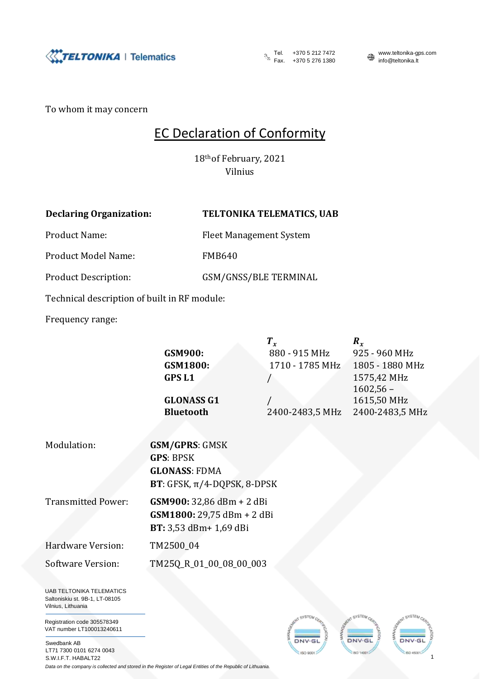

Tel. +370 5 212 7472 www.teltonika-gps.com<br>Fax. +370 5 276 1380 mmo@teltonika.lt Fax.  $+3703212...$ <br>Fax.  $+37052761380$ 

1

WATER

DNV<sub>GI</sub> **INCL 1400** 

To whom it may concern

## EC Declaration of Conformity

18th of February, 2021 Vilnius

|  | <b>Declaring Organization:</b> |
|--|--------------------------------|
|--|--------------------------------|

## **TELTONIKA TELEMATICS, UAB**

Product Name: Fleet Management System

Product Model Name: FMB640

Product Description: GSM/GNSS/BLE TERMINAL

Technical description of built in RF module:

Frequency range:

|                                                                   | $T_{x}$                    | $\boldsymbol{R}_{x}$                                                                                                                                                                  |
|-------------------------------------------------------------------|----------------------------|---------------------------------------------------------------------------------------------------------------------------------------------------------------------------------------|
|                                                                   |                            | 925 - 960 MHz<br>1805 - 1880 MHz                                                                                                                                                      |
| <b>GPSL1</b>                                                      |                            | 1575,42 MHz<br>$1602,56 -$                                                                                                                                                            |
| <b>GLONASS G1</b>                                                 |                            | 1615,50 MHz                                                                                                                                                                           |
| <b>Bluetooth</b>                                                  |                            | 2400-2483,5 MHz                                                                                                                                                                       |
|                                                                   |                            |                                                                                                                                                                                       |
| <b>GSM/GPRS: GMSK</b><br><b>GPS: BPSK</b><br><b>GLONASS: FDMA</b> |                            |                                                                                                                                                                                       |
| BT: 3,53 dBm+ 1,69 dBi                                            |                            |                                                                                                                                                                                       |
| TM2500_04                                                         |                            |                                                                                                                                                                                       |
|                                                                   |                            |                                                                                                                                                                                       |
|                                                                   | <b>GSM900:</b><br>GSM1800: | 880 - 915 MHz<br>1710 - 1785 MHz<br>2400-2483,5 MHz<br><b>BT</b> : GFSK, $\pi$ /4-DQPSK, 8-DPSK<br>GSM900: 32,86 dBm + 2 dBi<br>GSM1800: 29,75 dBm + 2 dBi<br>TM25Q_R_01_00_08_00_003 |

Registration code 305578349 VAT number LT100013240611

Swedbank AB LT71 7300 0101 6274 0043 S.W.I.F.T. HABALT22

*Data on the company is collected and stored in the Register of Legal Entities of the Republic of Lithuania.*